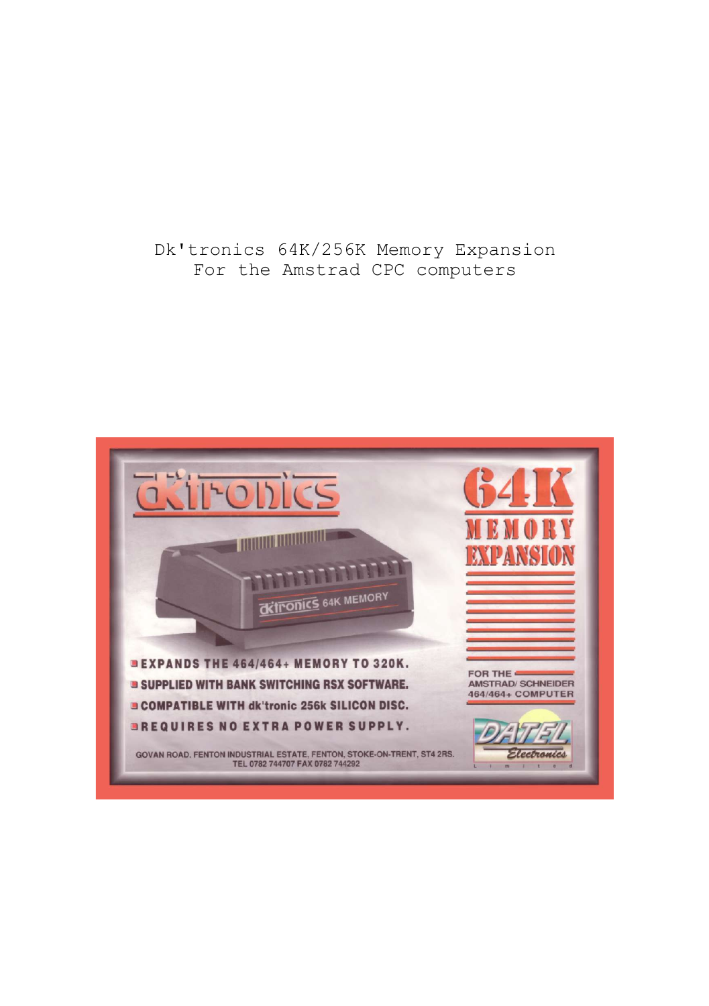# Dk'tronics 64K/256K Memory Expansion For the Amstrad CPC computers

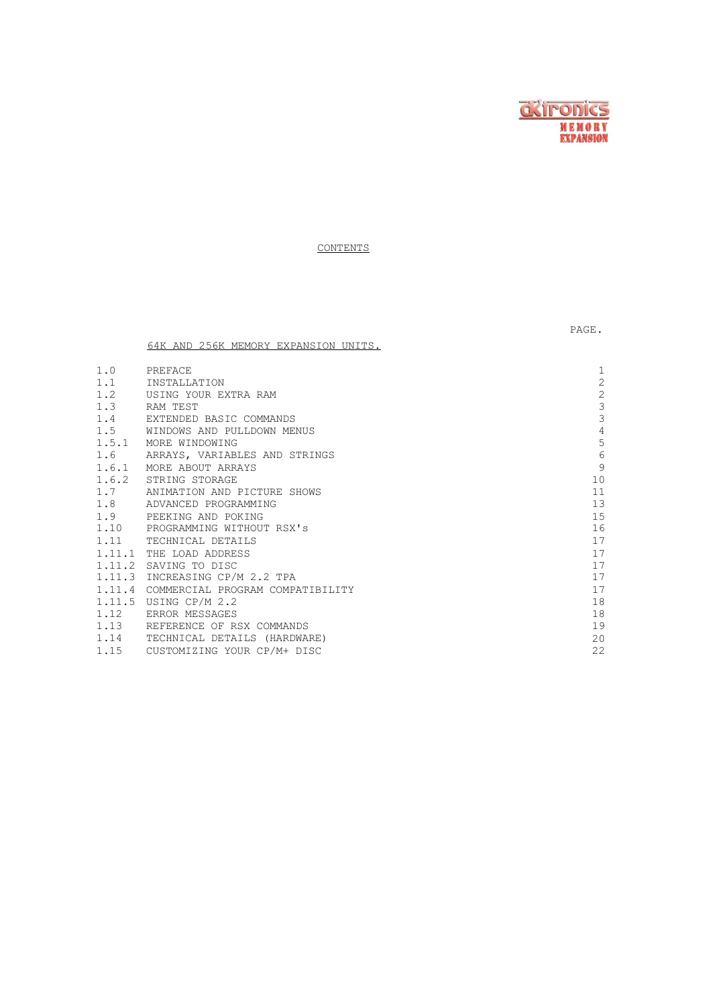

PAGE.

**CONTENTS** 

64K AND 256K MEMORY EXPANSION UNITS.

| 1.0 | PREFACE                                 | 1              |
|-----|-----------------------------------------|----------------|
| 1.1 | INSTALLATION                            | $\overline{c}$ |
|     | 1.2 USING YOUR EXTRA RAM                | $\sqrt{2}$     |
|     | 1.3 RAM TEST                            | 3              |
|     | 1.4 EXTENDED BASIC COMMANDS             | 3              |
|     | 1.5 WINDOWS AND PULLDOWN MENUS          | 4              |
|     | 1.5.1 MORE WINDOWING                    | 5              |
| 1.6 | ARRAYS, VARIABLES AND STRINGS           | 6              |
|     | 1.6.1 MORE ABOUT ARRAYS                 | 9              |
|     | 1.6.2 STRING STORAGE                    | 10             |
|     | 1.7 ANIMATION AND PICTURE SHOWS         | 11             |
|     | 1.8 ADVANCED PROGRAMMING                | 13             |
|     | 1.9 PEEKING AND POKING                  | 15             |
|     | 1.10 PROGRAMMING WITHOUT RSX's          | 16             |
|     | 1.11 TECHNICAL DETAILS                  | 17             |
|     | 1.11.1 THE LOAD ADDRESS                 | 17             |
|     | 1.11.2 SAVING TO DISC                   | 17             |
|     | 1.11.3 INCREASING CP/M 2.2 TPA          | 17             |
|     | 1.11.4 COMMERCIAL PROGRAM COMPATIBILITY | 17             |
|     | 1.11.5 USING CP/M 2.2                   | 18             |
|     | 1.12 ERROR MESSAGES                     | 18             |
|     | 1.13 REFERENCE OF RSX COMMANDS          | 19             |
|     | 1.14 TECHNICAL DETAILS (HARDWARE)       | 20             |
|     | 1.15 CUSTOMIZING YOUR CP/M+ DISC        | 22             |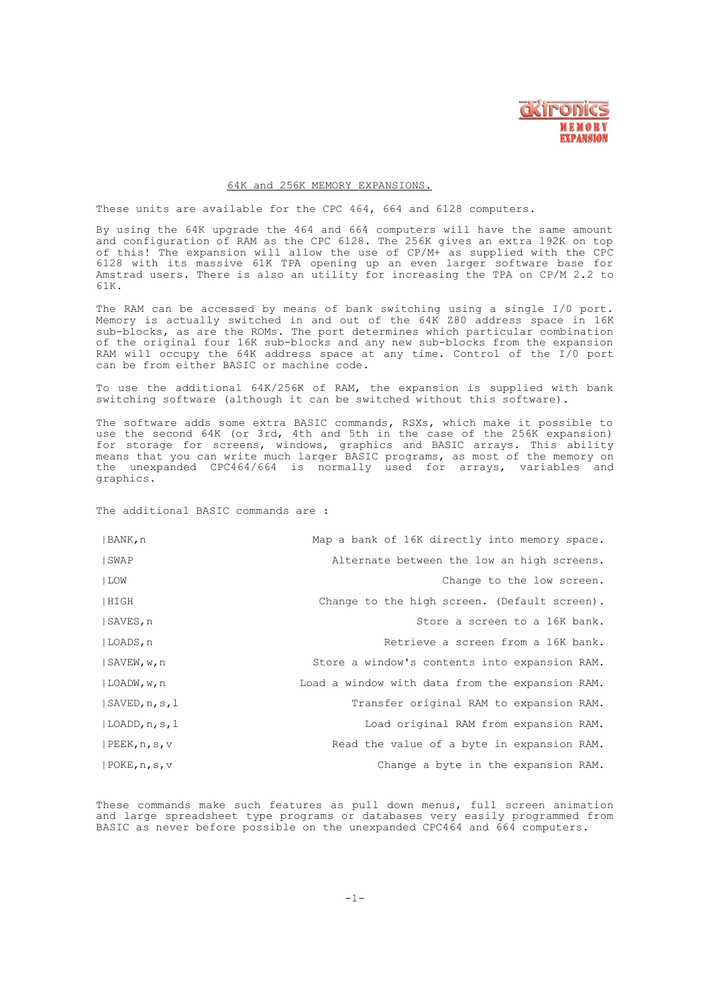

#### 64K and 256K MEMORY EXPANSIONS.

These units are available for the CPC 464, 664 and 6128 computers.

By using the 64K upgrade the 464 and 664 computers will have the same amount and configuration of RAM as the CPC 6128. The 256K gives an extra 192K on top of this! The expansion will allow the use of CP/M+ as supplied with the CPC<br>6128 with its massive 61K TPA opening up an even larger software base for<br>Amstrad users. There is also an utility for increasing the TPA on CP/M 2 61K.

The RAM can be accessed by means of bank switching using a single I/0 port. Memory is actually switched in and out of the 64K Z80 address space in 16K sub-blocks, as are the ROMs. The port determines which particular combination of the original four 16K sub-blocks and any new sub-blocks from the expansion RAM will occupy the 64K address space at any time. Control of the I/0 port can be from either BASIC or machine code.

To use the additional 64K/256K of RAM, the expansion is supplied with bank switching software (although it can be switched without this software).

The software adds some extra BASIC commands, RSXs, which make it possible to use the second 64K (or 3rd, 4th and 5th in the case of the 256K expansion) for storage for screens, windows, graphics and BASIC arrays. This ability means that you can write much larger BASIC programs, as most of the memory on the unexpanded CPC464/664 is normally used for arrays, variables and graphics.

The additional BASIC commands are :

| BANK, n                    | Map a bank of 16K directly into memory space.   |
|----------------------------|-------------------------------------------------|
| SWAP                       | Alternate between the low an high screens.      |
| LOW                        | Change to the low screen.                       |
| HIGH                       | Change to the high screen. (Default screen).    |
| SAVES, n                   | Store a screen to a 16K bank.                   |
| LOADS, n                   | Retrieve a screen from a 16K bank.              |
| SAVEW, w, n                | Store a window's contents into expansion RAM.   |
| $ $ LOADW, w, n            | Load a window with data from the expansion RAM. |
| $ $ SAVED, $n$ , $s$ , $l$ | Transfer original RAM to expansion RAM.         |
| $ $ LOADD, n, s, l         | Load original RAM from expansion RAM.           |
| PEEK, n, s, v              | Read the value of a byte in expansion RAM.      |
| POKE, n, s, v              | Change a byte in the expansion RAM.             |

These commands make such features as pull down menus, full screen animation and large spreadsheet type programs or databases very easily programmed from BASIC as never before possible on the unexpanded CPC464 and 664 computers.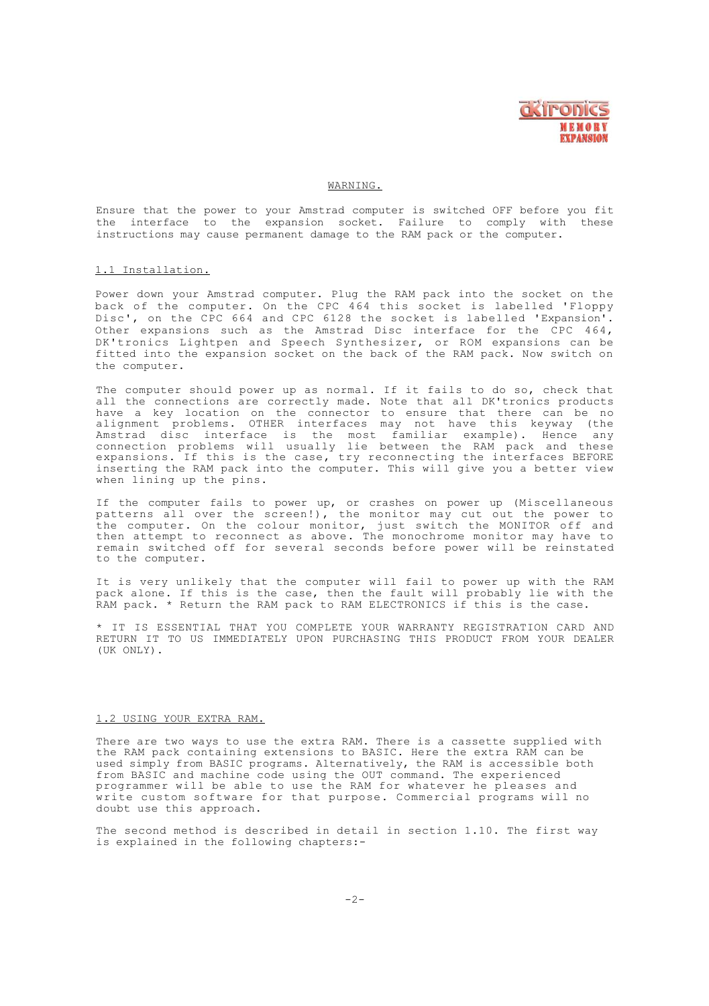

#### WARNING.

Ensure that the power to your Amstrad computer is switched OFF before you fit the interface to the expansion socket. Failure to comply with these instructions may cause permanent damage to the RAM pack or the computer.

#### 1.1 Installation.

Power down your Amstrad computer. Plug the RAM pack into the socket on the back of the computer. On the CPC 464 this socket is labelled 'Floppy Disc', on the CPC 664 and CPC 6128 the socket is labelled 'Expansion'. Other expansions such as the Amstrad Disc interface for the CPC 464, DK'tronics Lightpen and Speech Synthesizer, or ROM expansions can be fitted into the expansion socket on the back of the RAM pack. Now switch on the computer.

The computer should power up as normal. If it fails to do so, check that all the connections are correctly made. Note that all DK'tronics products have a key location on the connector to ensure that there can be no alignment problems. OTHER interfaces may not have this keyway (the Amstrad disc interface is the most familiar example). Hence any<br>connection problems will usually lie between the RAM pack and these<br>expansions. If this is the case, try reconnecting the interfaces BEFORE<br>inserting the RAM when lining up the pins.

If the computer fails to power up, or crashes on power up (Miscellaneous patterns all over the screen!), the monitor may cut out the power to the computer. On the colour monitor, just switch the MONITOR off and then attempt to reconnect as above. The monochrome monitor may have to remain switched off for several seconds before power will be reinstated to the computer.

It is very unlikely that the computer will fail to power up with the RAM pack alone. If this is the case, then the fault will probably lie with the RAM pack. \* Return the RAM pack to RAM ELECTRONICS if this is the case.

\* IT IS ESSENTIAL THAT YOU COMPLETE YOUR WARRANTY REGISTRATION CARD AND RETURN IT TO US IMMEDIATELY UPON PURCHASING THIS PRODUCT FROM YOUR DEALER (UK ONLY).

#### 1.2 USING YOUR EXTRA RAM.

There are two ways to use the extra RAM. There is a cassette supplied with the RAM pack containing extensions to BASIC. Here the extra RAM can be used simply from BASIC programs. Alternatively, the RAM is accessible both from BASIC and machine code using the OUT command. The experienced programmer will be able to use the RAM for whatever he pleases and write custom software for that purpose. Commercial programs will no doubt use this approach.

The second method is described in detail in section 1.10. The first way is explained in the following chapters:-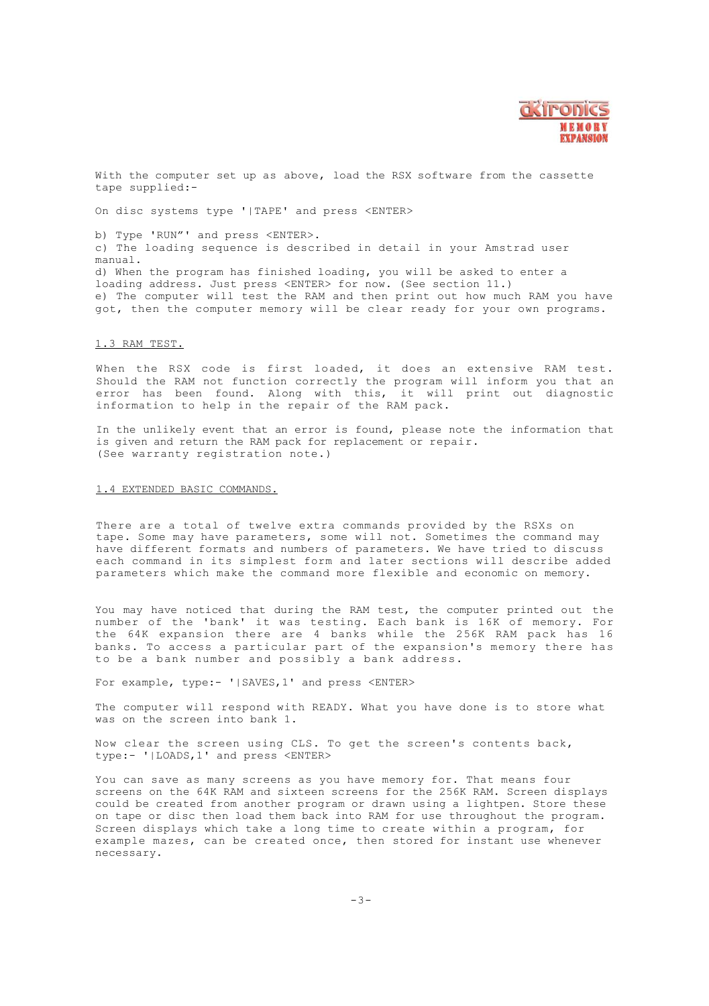

With the computer set up as above, load the RSX software from the cassette tape supplied:-

On disc systems type '|TAPE' and press <ENTER>

b) Type 'RUN"' and press <ENTER>. c) The loading sequence is described in detail in your Amstrad user manual. d) When the program has finished loading, you will be asked to enter a loading address. Just press <ENTER> for now. (See section 11.) e) The computer will test the RAM and then print out how much RAM you have got, then the computer memory will be clear ready for your own programs.

#### 1.3 RAM TEST.

When the RSX code is first loaded, it does an extensive RAM test. Should the RAM not function correctly the program will inform you that an error has been found. Along with this, it will print out diagnostic information to help in the repair of the RAM pack.

In the unlikely event that an error is found, please note the information that is given and return the RAM pack for replacement or repair. (See warranty registration note.)

#### 1.4 EXTENDED BASIC COMMANDS.

There are a total of twelve extra commands provided by the RSXs on tape. Some may have parameters, some will not. Sometimes the command may have different formats and numbers of parameters. We have tried to discuss each command in its simplest form and later sections will describe added parameters which make the command more flexible and economic on memory.

You may have noticed that during the RAM test, the computer printed out the number of the 'bank' it was testing. Each bank is 16K of memory. For the 64K expansion there are 4 banks while the 256K RAM pack has 16 banks. To access a particular part of the expansion's memory there has to be a bank number and possibly a bank address.

For example, type:- '|SAVES, 1' and press <ENTER>

The computer will respond with READY. What you have done is to store what was on the screen into bank 1.

Now clear the screen using CLS. To get the screen's contents back, type:- '|LOADS,1' and press <ENTER>

You can save as many screens as you have memory for. That means four screens on the 64K RAM and sixteen screens for the 256K RAM. Screen displays could be created from another program or drawn using a lightpen. Store these on tape or disc then load them back into RAM for use throughout the program. Screen displays which take a long time to create within a program, for example mazes, can be created once, then stored for instant use whenever necessary.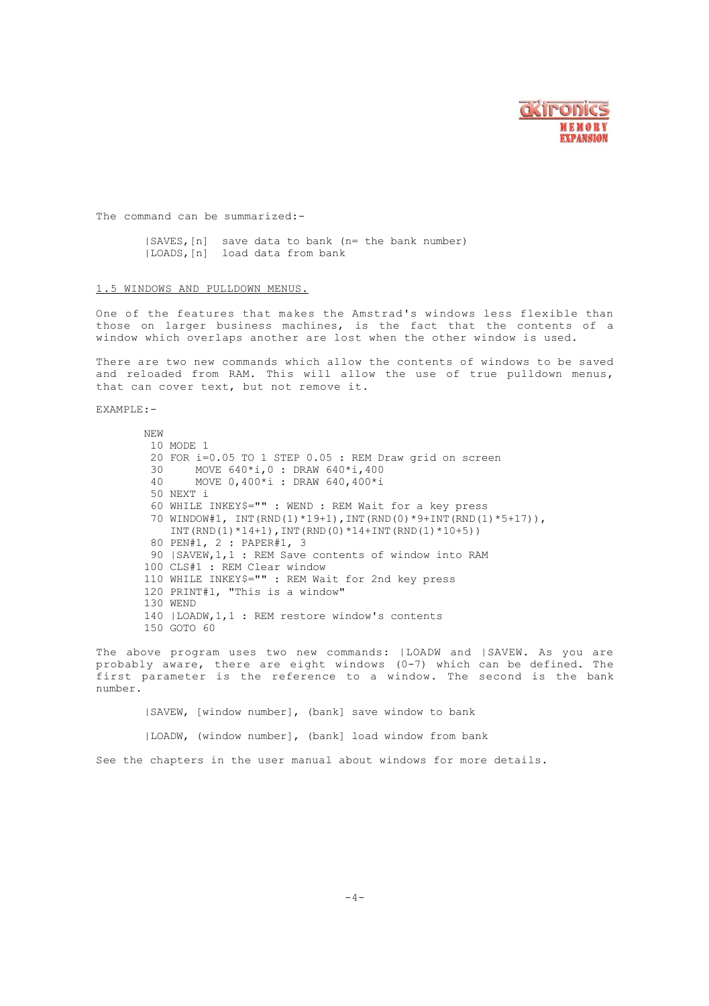

The command can be summarized:-

|SAVES,[n] save data to bank (n= the bank number) |LOADS,[n] load data from bank

# 1.5 WINDOWS AND PULLDOWN MENUS.

One of the features that makes the Amstrad's windows less flexible than those on larger business machines, is the fact that the contents of a window which overlaps another are lost when the other window is used.

There are two new commands which allow the contents of windows to be saved and reloaded from RAM. This will allow the use of true pulldown menus, that can cover text, but not remove it.

EXAMPLE:-

NEW 10 MODE 1 20 FOR  $i=0.05$  TO 1 STEP 0.05 : REM Draw grid on screen 30 MOVE 640\*i 0 · DRAW 640\*i 400  $MOWE 640* i, 0$  : DRAW  $640* i, 400$ 40 MOVE 0,400\*i : DRAW 640,400\*i 50 NEXT i 60 WHILE INKEY\$="" : WEND : REM Wait for a key press 70 WINDOW#1, INT(RND(1)\*19+1),INT(RND(0)\*9+INT(RND(1)\*5+17)), INT(RND(1)\*14+1), INT(RND(0)\*14+INT(RND(1)\*10+5)) 80 PEN#1, 2 : PAPER#1, 3 90 |SAVEW,1,1 : REM Save contents of window into RAM 100 CLS#1 : REM Clear window 110 WHILE INKEY\$="" : REM Wait for 2nd key press 120 PRINT#l, "This is a window" 130 WEND 140 |LOADW,1,1 : REM restore window's contents 150 GOTO 60

The above program uses two new commands: |LOADW and |SAVEW. As you are probably aware, there are eight windows (0-7) which can be defined. The first parameter is the reference to a window. The second is the bank number.

|SAVEW, [window number], (bank] save window to bank |LOADW, (window number], (bank] load window from bank See the chapters in the user manual about windows for more details.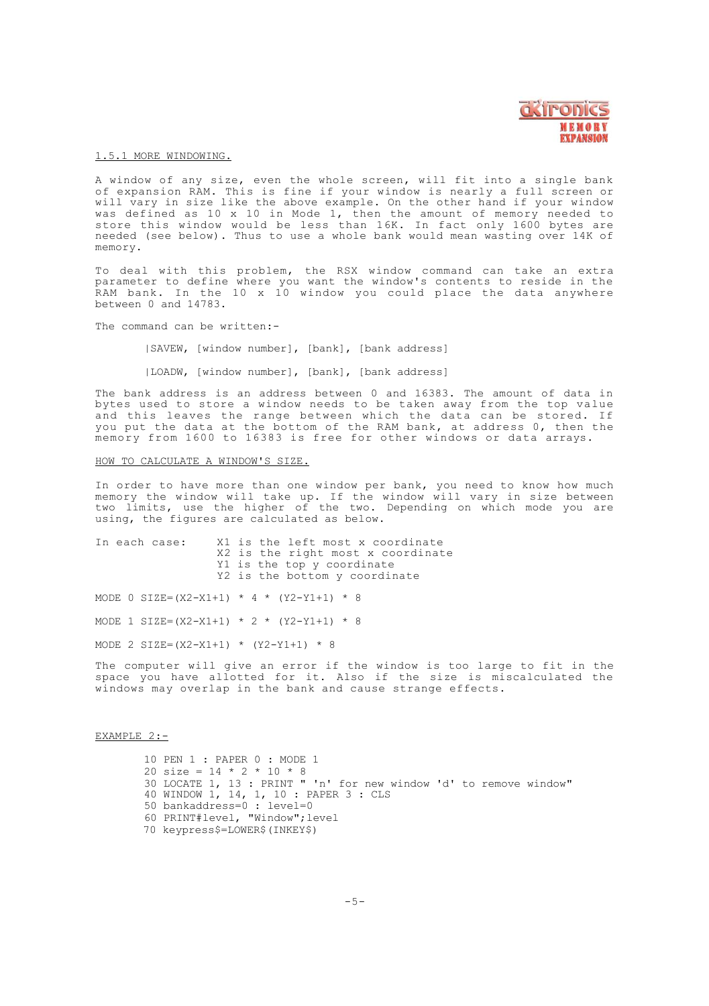

#### 1.5.1 MORE WINDOWING.

A window of any size, even the whole screen, will fit into a single bank of expansion RAM. This is fine if your window is nearly a full screen or<br>will vary in size like the above example. On the other hand if your window<br>was defined as 10 x 10 in Mode 1, then the amount of memory needed to store this window would be less than 16K. In fact only 1600 bytes are needed (see below). Thus to use a whole bank would mean wasting over 14K of memory.

To deal with this problem, the RSX window command can take an extra parameter to define where you want the window's contents to reside in the RAM bank. In the 10 x 10 window you could place the data anywhere between 0 and 14783.

The command can be written:-

|SAVEW, [window number], [bank], [bank address]

|LOADW, [window number], [bank], [bank address]

The bank address is an address between 0 and 16383. The amount of data in bytes used to store a window needs to be taken away from the top value and this leaves the range between which the data can be stored. If you put the data at the bottom of the RAM bank, at address 0, then the memory from 1600 to 16383 is free for other windows or data arrays.

# HOW TO CALCULATE A WINDOW'S SIZE.

In order to have more than one window per bank, you need to know how much memory the window will take up. If the window will vary in size between two limits, use the higher of the two. Depending on which mode you are using, the figures are calculated as below.

| In each case:                             | X1 is the left most x coordinate<br>X2 is the right most x coordinate<br>Y1 is the top y coordinate<br>Y2 is the bottom y coordinate |
|-------------------------------------------|--------------------------------------------------------------------------------------------------------------------------------------|
| MODE 0 SIZE=(X2-X1+1) * 4 * (Y2-Y1+1) * 8 |                                                                                                                                      |
| MODE 1 SIZE=(X2-X1+1) * 2 * (Y2-Y1+1) * 8 |                                                                                                                                      |
| MODE 2 SIZE=(X2-X1+1) * (Y2-Y1+1) * 8     |                                                                                                                                      |

The computer will give an error if the window is too large to fit in the space you have allotted for it. Also if the size is miscalculated the windows may overlap in the bank and cause strange effects.

# EXAMPLE 2:-

 PEN 1 : PAPER 0 : MODE 1 20 size =  $14 * 2 * 10 * 8$  LOCATE 1, 13 : PRINT " 'n' for new window 'd' to remove window" WINDOW 1, 14, 1, 10 : PAPER 3 : CLS bankaddress=0 : level=0 PRINT#level, "Window";level keypress\$=LOWER\$(INKEY\$)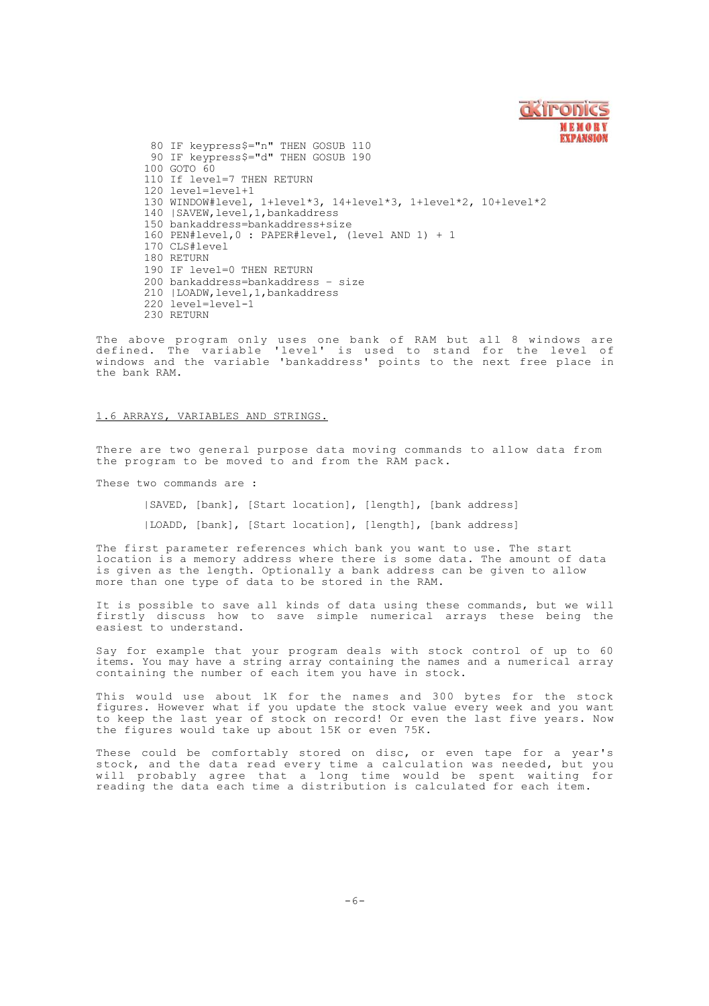

 IF keypress\$="n" THEN GOSUB 110 IF keypress\$="d" THEN GOSUB 190 100 GOTO 60 110 If level=7 THEN RETURN level=level+1 WINDOW#level, 1+level\*3, 14+level\*3, 1+level\*2, 10+level\*2 140 |SAVEW,level,1,bankaddress bankaddress=bankaddress+size PEN#level,0 : PAPER#level, (level AND 1) + 1 CLS#level 180 RETURN IF level=0 THEN RETURN bankaddress=bankaddress – size |LOADW,level,1,bankaddress level=level-1 230 RETURN

The above program only uses one bank of RAM but all 8 windows are<br>defined. The variable 'level' is used to stand for the level of<br>windows and the variable 'bankaddress' points to the next free place in the bank RAM.

### 1.6 ARRAYS, VARIABLES AND STRINGS.

There are two general purpose data moving commands to allow data from the program to be moved to and from the RAM pack.

These two commands are :

|SAVED, [bank], [Start location], [length], [bank address]

|LOADD, [bank], [Start location], [length], [bank address]

The first parameter references which bank you want to use. The start location is a memory address where there is some data. The amount of data is given as the length. Optionally a bank address can be given to allow more than one type of data to be stored in the RAM.

It is possible to save all kinds of data using these commands, but we will firstly discuss how to save simple numerical arrays these being the easiest to understand.

Say for example that your program deals with stock control of up to 60 items. You may have a string array containing the names and a numerical array containing the number of each item you have in stock.

This would use about 1K for the names and 300 bytes for the stock figures. However what if you update the stock value every week and you want to keep the last year of stock on record! Or even the last five years. Now the figures would take up about 15K or even 75K.

These could be comfortably stored on disc, or even tape for a year's stock, and the data read every time a calculation was needed, but you<br>will probably agree that a long time would be spent waiting for<br>reading the data each time a distribution is calculated for each item.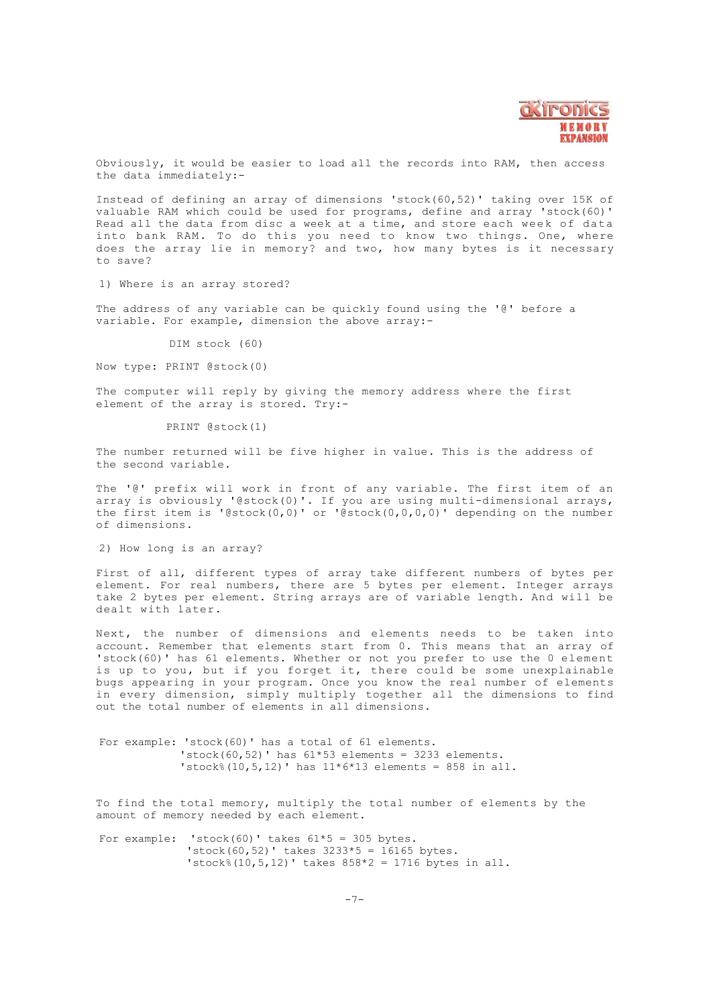

Obviously, it would be easier to load all the records into RAM, then access the data immediately:-

Instead of defining an array of dimensions 'stock(60,52)' taking over 15K of valuable RAM which could be used for programs, define and array 'stock(60)' Read all the data from disc a week at a time, and store each week of data into bank RAM. To do this you need to know two things. One, where does the array lie in memory? and two, how many bytes is it necessary  $t \cap$  save?

1) Where is an array stored?

The address of any variable can be quickly found using the '@' before a variable. For example, dimension the above array:-

DIM stock (60)

Now type: PRINT @stock(0)

The computer will reply by giving the memory address where the first element of the array is stored. Try:-

PRINT @stock(1)

The number returned will be five higher in value. This is the address of the second variable.

The '@' prefix will work in front of any variable. The first item of an array is obviously '@stock(0)'. If you are using multi-dimensional arrays, the first item is '@stock(0,0)' or '@stock(0,0,0,0)' depending on the number of dimensions.

2) How long is an array?

First of all, different types of array take different numbers of bytes per element. For real numbers, there are 5 bytes per element. Integer arrays take 2 bytes per element. String arrays are of variable length. And will be dealt with later.

Next, the number of dimensions and elements needs to be taken into account. Remember that elements start from 0. This means that an array of 'stock(60)' has 61 elements. Whether or not you prefer to use the 0 element is up to you, but if you forget it, there could be some unexplainable bugs appearing in your program. Once you know the real number of elements in every dimension, simply multiply together all the dimensions to find out the total number of elements in all dimensions.

For example: 'stock(60)' has a total of 61 elements. 'stock(60,52)' has  $61*53$  elements = 3233 elements. 'stock%(10,5,12)' has 11\*6\*13 elements = 858 in all.

To find the total memory, multiply the total number of elements by the amount of memory needed by each element.

For example: 'stock(60)' takes 61\*5 = 305 bytes. 'stock(60,52)' takes 3233\*5 = 16165 bytes. 'stock%(10,5,12)' takes  $858*2 = 1716$  bytes in all.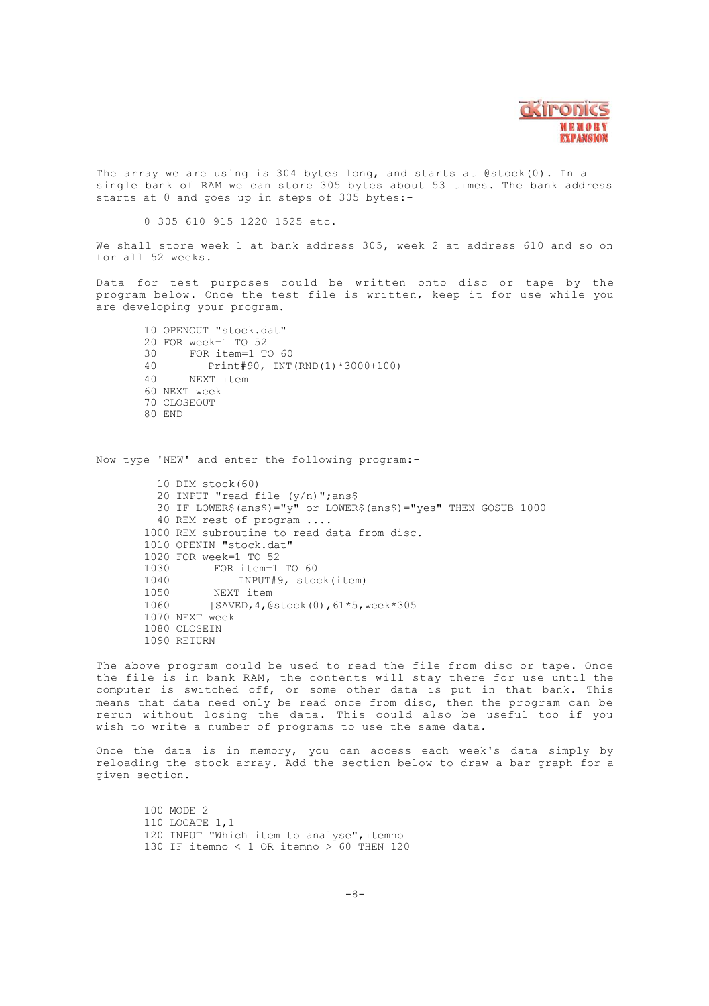

The array we are using is 304 bytes long, and starts at @stock(0). In a single bank of RAM we can store 305 bytes about 53 times. The bank address starts at 0 and goes up in steps of 305 bytes:-

0 305 610 915 1220 1525 etc.

We shall store week 1 at bank address 305, week 2 at address 610 and so on for all 52 weeks.

Data for test purposes could be written onto disc or tape by the program below. Once the test file is written, keep it for use while you are developing your program.

10 OPENOUT "stock.dat" 20 FOR week=1 TO 52<br>30 FOR item=1 T 30 FOR item=1 TO 60<br>40 Print#90, INT Print#90, INT(RND(1)\*3000+100) 40 NEXT item 60 NEXT week 70 CLOSEOUT 80 END

Now type 'NEW' and enter the following program:-

10 DIM stock(60) 20 INPUT "read file (y/n)";ans\$ 30 IF LOWER\$(ans\$)="y" or LOWER\$(ans\$)="yes" THEN GOSUB 1000 40 REM rest of program .... 1000 REM subroutine to read data from disc. 1010 OPENIN "stock.dat" 1020 FOR week=1 TO 52 1030 FOR item=1 TO 60<br>1040 INPUT#9, stoc 1040 INPUT#9, stock(item) 1050 NEXT item<br>1060 ISAVED.4.0 1060 |SAVED,4,@stock(0),61\*5,week\*305 1070 NEXT week 1080 CLOSEIN 1090 RETURN

The above program could be used to read the file from disc or tape. Once the file is in bank RAM, the contents will stay there for use until the computer is switched off, or some other data is put in that bank. This means that data need only be read once from disc, then the program can be rerun without losing the data. This could also be useful too if you wish to write a number of programs to use the same data.

Once the data is in memory, you can access each week's data simply by reloading the stock array. Add the section below to draw a bar graph for a given section.

100 MODE 2 110 LOCATE 1,1 120 INPUT "Which item to analyse", itemno 130 IF itemno < 1 OR itemno > 60 THEN 120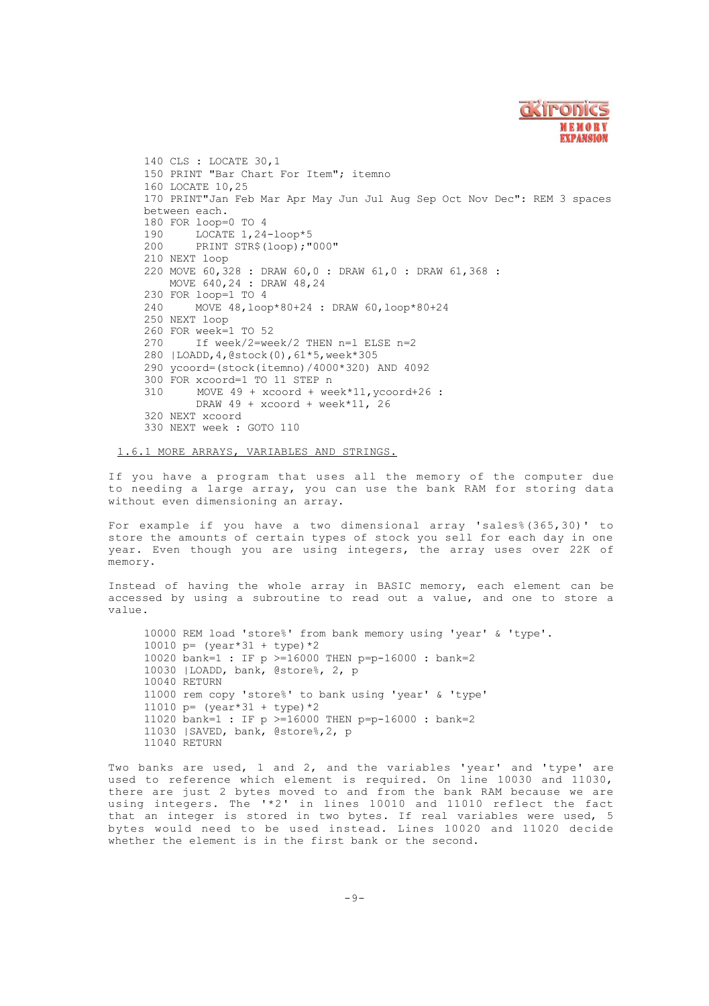

 CLS : LOCATE 30,1 150 PRINT "Bar Chart For Item"; itemno LOCATE 10,25 PRINT"Jan Feb Mar Apr May Jun Jul Aug Sep Oct Nov Dec": REM 3 spaces between each. 180 FOR loop=0 TO 4 190 LOCATE 1, 24-loop\*5<br>200 PRINT STR\$(loop):" PRINT STR\$(loop);"000" NEXT loop MOVE 60,328 : DRAW 60,0 : DRAW 61,0 : DRAW 61,368 : MOVE 640,24 : DRAW 48,24 FOR loop=1 TO 4 MOVE 48,loop\*80+24 : DRAW 60,loop\*80+24 NEXT loop FOR week=1 TO 52<br>270 Tf week/2=wee If week/2=week/2 THEN  $n=1$  ELSE  $n=2$  |LOADD,4,@stock(0),61\*5,week\*305 ycoord=(stock(itemno)/4000\*320) AND 4092 FOR xcoord=1 TO 11 STEP n MOVE 49 + xcoord + week\*11,ycoord+26 : DRAW  $49 + x$ coord + week\*11, 26 NEXT xcoord NEXT week : GOTO 110

1.6.1 MORE ARRAYS, VARIABLES AND STRINGS.

If you have a program that uses all the memory of the computer due to needing a large array, you can use the bank RAM for storing data without even dimensioning an array.

For example if you have a two dimensional array 'sales%(365,30)' to store the amounts of certain types of stock you sell for each day in one year. Even though you are using integers, the array uses over 22K of memory.

Instead of having the whole array in BASIC memory, each element can be accessed by using a subroutine to read out a value, and one to store a value.

 REM load 'store%' from bank memory using 'year' & 'type'. p= (year\*31 + type)\*2 bank=1 : IF p >=16000 THEN p=p-16000 : bank=2 |LOADD, bank, @store%, 2, p 10040 RETURN rem copy 'store%' to bank using 'year' & 'type' 11010 p=  $(year*31 + type)*2$  bank=1 : IF p >=16000 THEN p=p-16000 : bank=2 |SAVED, bank, @store%,2, p 11040 RETURN

Two banks are used, 1 and 2, and the variables 'year' and 'type' are used to reference which element is required. On line 10030 and 11030, there are just 2 bytes moved to and from the bank RAM because we are using integers. The '\*2' in lines 10010 and 11010 reflect the fact that an integer is stored in two bytes. If real variables were used, 5 bytes would need to be used instead. Lines 10020 and 11020 decide whether the element is in the first bank or the second.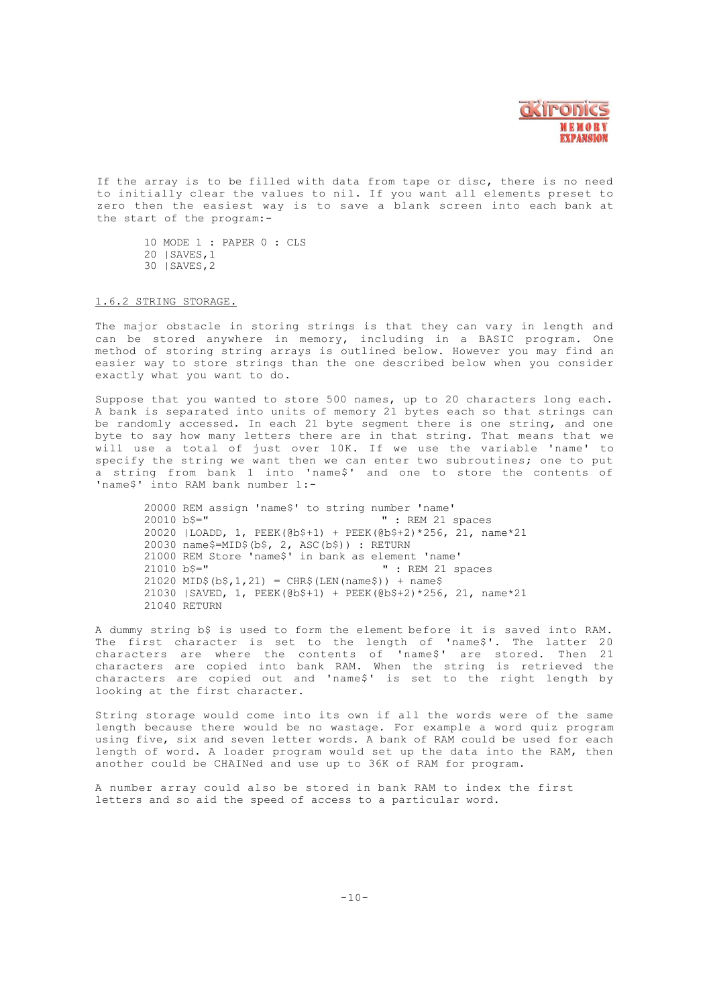

If the array is to be filled with data from tape or disc, there is no need to initially clear the values to nil. If you want all elements preset to zero then the easiest way is to save a blank screen into each bank at the start of the program:-

10 MODE 1 : PAPER 0 : CLS 20 |SAVES,1 30 |SAVES,2

#### 1.6.2 STRING STORAGE.

The major obstacle in storing strings is that they can vary in length and can be stored anywhere in memory, including in a BASIC program. One method of storing string arrays is outlined below. However you may find an easier way to store strings than the one described below when you consider exactly what you want to do.

Suppose that you wanted to store 500 names, up to 20 characters long each. A bank is separated into units of memory 21 bytes each so that strings can be randomly accessed. In each 21 byte segment there is one string, and one byte to say how many letters there are in that string. That means that we will use a total of just over 10K. If we use the variable 'name' to specify the string we want then we can enter two subroutines; one to put a string from bank 1 into 'name\$' and one to store the contents of 'name\$' into RAM bank number 1:-

 REM assign 'name\$' to string number 'name' " : REM 21 spaces |LOADD, 1, PEEK(@b\$+1) + PEEK(@b\$+2)\*256, 21, name\*21 name\$=MID\$(b\$, 2, ASC(b\$)) : RETURN 21000 REM Store 'name\$' in bank as element 'name' b\$=" " : REM 21 spaces MID\$(b\$, 1, 21) = CHR\$(LEN(name\$)) + name\$ |SAVED, 1, PEEK(@b\$+1) + PEEK(@b\$+2)\*256, 21, name\*21 21040 RETURN

A dummy string b\$ is used to form the element before it is saved into RAM. The first character is set to the length of 'name\$'. The latter 20 characters are where the contents of 'name\$' are stored. Then 21 characters are copied into bank RAM. When the string is retrieved the characters are copied out and 'name\$' is set to the right length by looking at the first character.

String storage would come into its own if all the words were of the same length because there would be no wastage. For example a word quiz program using five, six and seven letter words. A bank of RAM could be used for each length of word. A loader program would set up the data into the RAM, then another could be CHAINed and use up to 36K of RAM for program.

A number array could also be stored in bank RAM to index the first letters and so aid the speed of access to a particular word.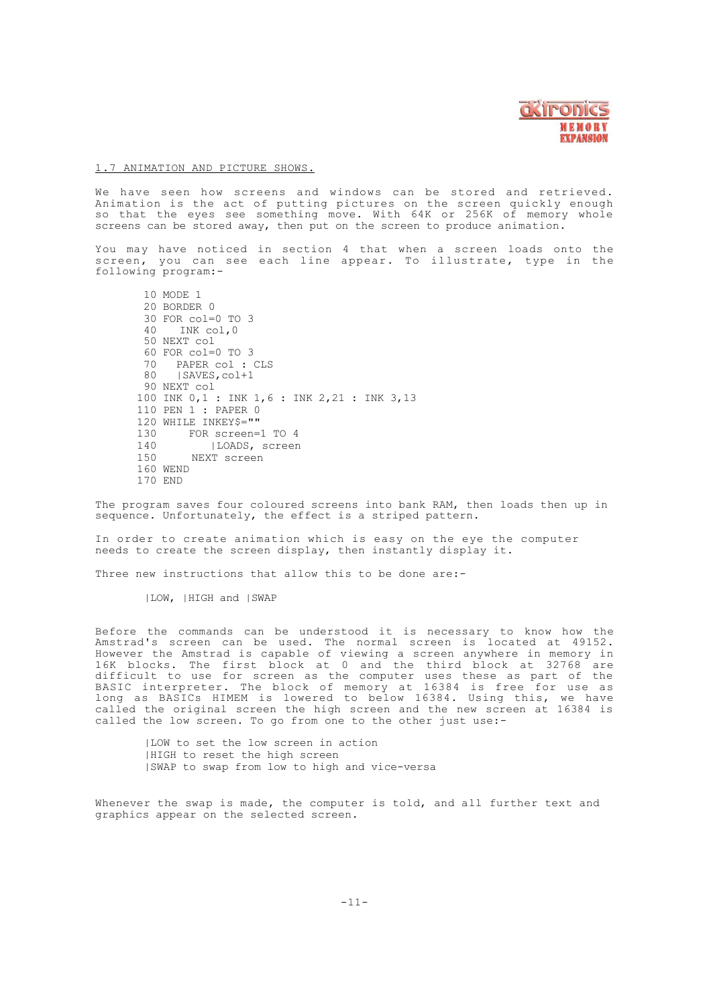

# 1 .7 ANIMATION AND PICTURE SHOWS.

We have seen how screens and windows can be stored and retrieved. Animation is the act of putting pictures on the screen quickly enough so that the eyes see something move. With 64K or 256K of memory whole screens can be stored away, then put on the screen to produce animation.

You may have noticed in section 4 that when a screen loads onto the screen, you can see each line appear. To illustrate, type in the following program:-

10 MODE 1 20 BORDER 0 30 FOR col=0 TO 3 40 INK col,0 50 NEXT col  $60$  FOR col=0 TO 3<br>70 PAPER col  $\cdot$ 70 PAPER col : CLS<br>80 ISAVES.colt1 80 |SAVES,col+1 90 NEXT col 100 INK 0,1 : INK 1,6 : INK 2,21 : INK 3,13 110 PEN 1 : PAPER 0 120 WHILE INKEY\$=""<br>130 FOR screen= 130 FOR screen=1 TO 4<br>140 | LOADS, screen 140 |LOADS, screen NEXT screen 160 WEND 170 END

The program saves four coloured screens into bank RAM, then loads then up in sequence. Unfortunately, the effect is a striped pattern.

In order to create animation which is easy on the eye the computer needs to create the screen display, then instantly display it.

Three new instructions that allow this to be done are:-

|LOW, |HIGH and |SWAP

Before the commands can be understood it is necessary to know how the Amstrad's screen can be used. The normal screen is located at 49152. However the Amstrad is capable of viewing a screen anywhere in memory in<br>16K blocks. The first block at 0 and the third block at 32768 are<br>difficult to use for screen as the computer uses these as part of the BASIC interpreter. The block of memory at 16384 is free for use as long as BASICs HIMEM is lowered to below 16384. Using this, we have called the original screen the high screen and the new screen at 16384 is called the low screen. To go from one to the other just use:-

|LOW to set the low screen in action |HIGH to reset the high screen |SWAP to swap from low to high and vice-versa

Whenever the swap is made, the computer is told, and all further text and graphics appear on the selected screen.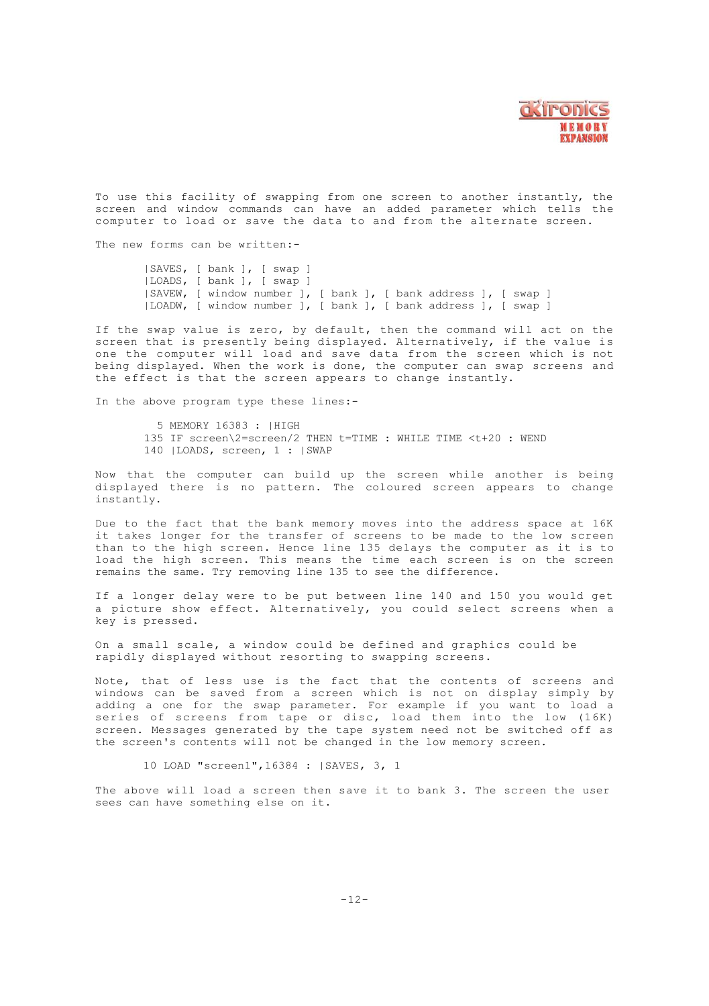

To use this facility of swapping from one screen to another instantly, the screen and window commands can have an added parameter which tells the computer to load or save the data to and from the alternate screen.

The new forms can be written .-

|SAVES, [ bank ], [ swap ] |LOADS, [ bank ], [ swap ] |SAVEW, [ window number ], [ bank ], [ bank address ], [ swap ] |LOADW, [ window number ], [ bank ], [ bank address ], [ swap ]

If the swap value is zero, by default, then the command will act on the screen that is presently being displayed. Alternatively, if the value is one the computer will load and save data from the screen which is not being displayed. When the work is done, the computer can swap screens and the effect is that the screen appears to change instantly.

In the above program type these lines:-

5 MEMORY 16383 : |HIGH 135 IF screen\2=screen/2 THEN t=TIME : WHILE TIME <t+20 : WEND 140 |LOADS, screen, 1 : |SWAP

Now that the computer can build up the screen while another is being displayed there is no pattern. The coloured screen appears to change instantly.

Due to the fact that the bank memory moves into the address space at 16K it takes longer for the transfer of screens to be made to the low screen than to the high screen. Hence line 135 delays the computer as it is to load the high screen. This means the time each screen is on the screen remains the same. Try removing line 135 to see the difference.

If a longer delay were to be put between line 140 and 150 you would get a picture show effect. Alternatively, you could select screens when a key is pressed.

On a small scale, a window could be defined and graphics could be rapidly displayed without resorting to swapping screens.

Note, that of less use is the fact that the contents of screens and windows can be saved from a screen which is not on display simply by adding a one for the swap parameter. For example if you want to load a series of screens from tape or disc, load them into the low (16K) screen. Messages generated by the tape system need not be switched off as the screen's contents will not be changed in the low memory screen.

10 LOAD "screen1",16384 : |SAVES, 3, 1

The above will load a screen then save it to bank 3. The screen the user sees can have something else on it.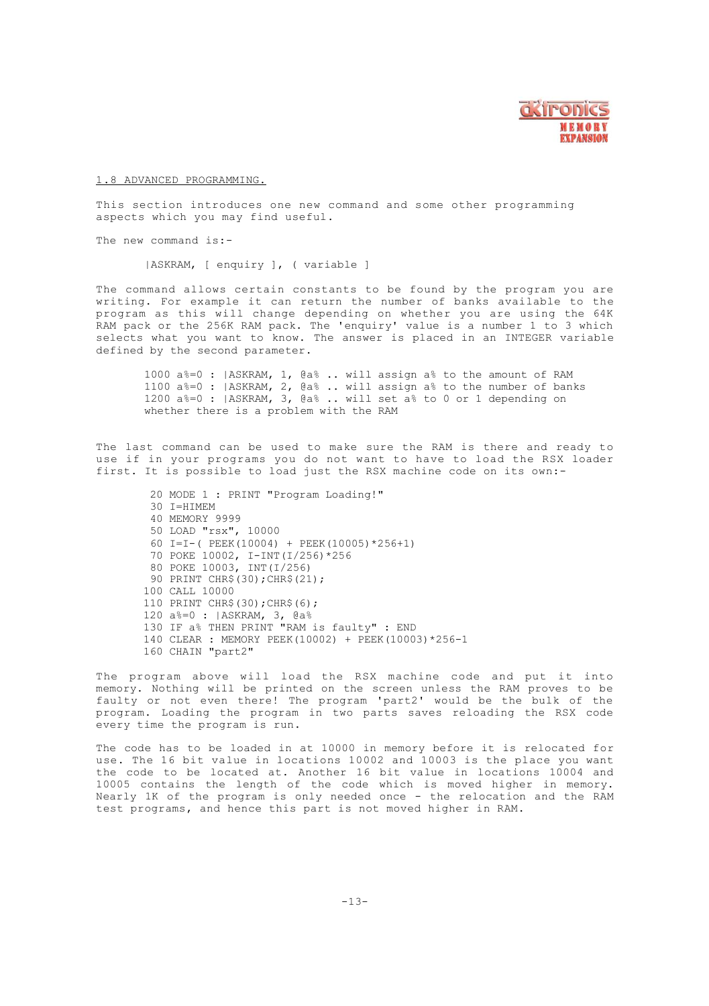

# 1.8 ADVANCED PROGRAMMING.

This section introduces one new command and some other programming aspects which you may find useful.

The new command is:-

|ASKRAM, [ enquiry ], ( variable ]

The command allows certain constants to be found by the program you are writing. For example it can return the number of banks available to the program as this will change depending on whether you are using the 64K RAM pack or the 256K RAM pack. The 'enquiry' value is a number 1 to 3 which selects what you want to know. The answer is placed in an INTEGER variable defined by the second parameter.

 a%=0 : |ASKRAM, 1, @a% .. will assign a% to the amount of RAM a%=0 : |ASKRAM, 2, @a% .. will assign a% to the number of banks a%=0 : |ASKRAM, 3, @a% .. will set a% to 0 or 1 depending on whether there is a problem with the RAM

The last command can be used to make sure the RAM is there and ready to use if in your programs you do not want to have to load the RSX loader first. It is possible to load just the RSX machine code on its own:-

20 MODE 1 : PRINT "Program Loading!" 30 I=HIMEM 40 MEMORY 9999 50 LOAD "rsx", 10000 60 I=I-( PEEK(10004) + PEEK(10005)\*256+1) 70 POKE 10002, I-INT(I/256)\*256 80 POKE 10003, INT(I/256) 90 PRINT CHR\$(30);CHR\$(21); 100 CALL 10000 110 PRINT CHR\$(30);CHR\$(6); 120 a%=0 : |ASKRAM, 3, @a% 130 IF a% THEN PRINT "RAM is faulty" : END 140 CLEAR : MEMORY PEEK(10002) + PEEK(10003)\*256-1 160 CHAIN "part2"

The program above will load the RSX machine code and put it into memory. Nothing will be printed on the screen unless the RAM proves to be faulty or not even there! The program 'part2' would be the bulk of the program. Loading the program in two parts saves reloading the RSX code every time the program is run.

The code has to be loaded in at 10000 in memory before it is relocated for use. The 16 bit value in locations 10002 and 10003 is the place you want the code to be located at. Another 16 bit value in locations 10004 and 10005 contains the length of the code which is moved higher in memory. Nearly 1K of the program is only needed once - the relocation and the RAM test programs, and hence this part is not moved higher in RAM.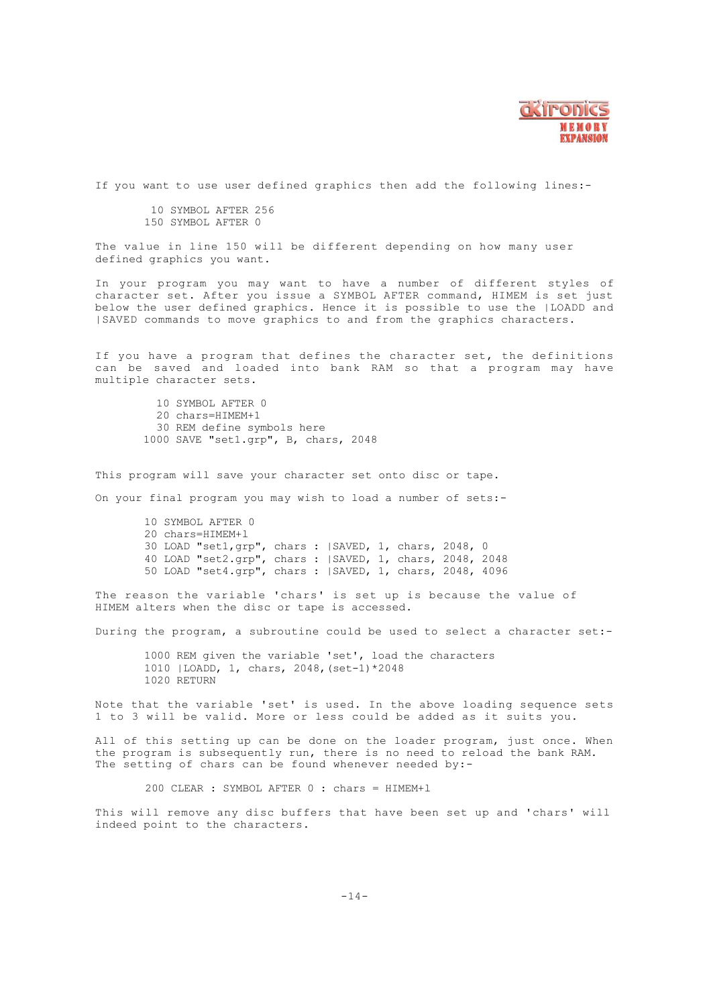

If you want to use user defined graphics then add the following lines:-

10 SYMBOL AFTER 256 150 SYMBOL AFTER 0

The value in line 150 will be different depending on how many user defined graphics you want.

In your program you may want to have a number of different styles of<br>character set. After you issue a SYMBOL AFTER command, HIMEM is set just<br>below the user defined graphics. Hence it is possible to use the |LOADD and |SAVED commands to move graphics to and from the graphics characters.

If you have a program that defines the character set, the definitions can be saved and loaded into bank RAM so that a program may have multiple character sets.

 SYMBOL AFTER 0 chars=HIMEM+1 REM define symbols here SAVE "set1.grp", B, chars, 2048

This program will save your character set onto disc or tape.

On your final program you may wish to load a number of sets:-

 SYMBOL AFTER 0 chars=HIMEM+l LOAD "set1,grp", chars : |SAVED, 1, chars, 2048, 0 LOAD "set2.grp", chars : |SAVED, 1, chars, 2048, 2048 50 LOAD "set4.grp", chars : |SAVED, 1, chars, 2048, 4096

The reason the variable 'chars' is set up is because the value of HIMEM alters when the disc or tape is accessed.

During the program, a subroutine could be used to select a character set:-

1000 REM given the variable 'set', load the characters 1010 |LOADD, 1, chars, 2048,(set-1)\*2048 1020 RETURN

Note that the variable 'set' is used. In the above loading sequence sets 1 to 3 will be valid. More or less could be added as it suits you.

All of this setting up can be done on the loader program, just once. When the program is subsequently run, there is no need to reload the bank RAM. The setting of chars can be found whenever needed by:-

200 CLEAR : SYMBOL AFTER 0 : chars = HIMEM+l

This will remove any disc buffers that have been set up and 'chars' will indeed point to the characters.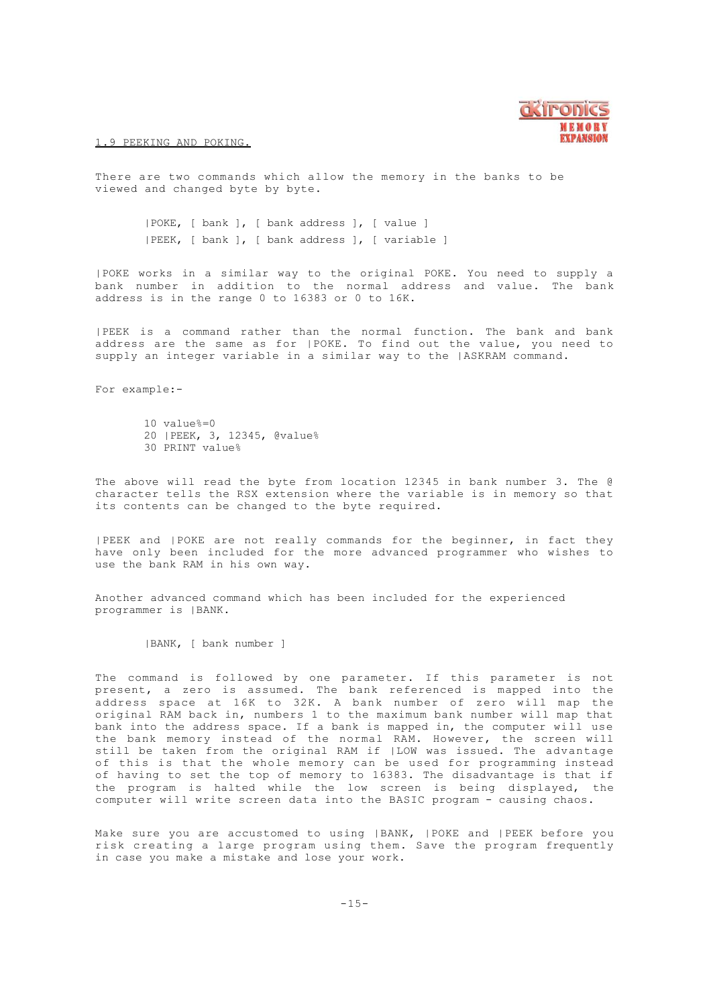

#### 1.9 PEEKING AND POKING.

There are two commands which allow the memory in the banks to be viewed and changed byte by byte.

> |POKE, [ bank ], [ bank address ], [ value ] |PEEK, [ bank ], [ bank address ], [ variable ]

|POKE works in a similar way to the original POKE. You need to supply a bank number in addition to the normal address and value. The bank address is in the range 0 to 16383 or 0 to 16K.

|PEEK is a command rather than the normal function. The bank and bank address are the same as for |POKE. To find out the value, you need to supply an integer variable in a similar way to the |ASKRAM command.

For example:-

10 value%=0 20 |PEEK, 3, 12345, @value% 30 PRINT value%

The above will read the byte from location 12345 in bank number 3. The @ character tells the RSX extension where the variable is in memory so that its contents can be changed to the byte required.

|PEEK and |POKE are not really commands for the beginner, in fact they have only been included for the more advanced programmer who wishes to use the bank RAM in his own way.

Another advanced command which has been included for the experienced programmer is |BANK.

|BANK, [ bank number ]

The command is followed by one parameter. If this parameter is not present, a zero is assumed. The bank referenced is mapped into the address space at 16K to 32K. A bank number of zero will map the original RAM back in, numbers 1 to the maximum bank number will map that bank into the address space. If a bank is mapped in, the computer will use the bank memory instead of the normal RAM. However, the screen will still be taken from the original RAM if |LOW was issued. The advantage of this is that the whole memory can be used for programming instead of having to set the top of memory to 16383. The disadvantage is that if the program is halted while the low screen is being displayed, the computer will write screen data into the BASIC program - causing chaos.

Make sure you are accustomed to using |BANK, |POKE and |PEEK before you risk creating a large program using them. Save the program frequently in case you make a mistake and lose your work.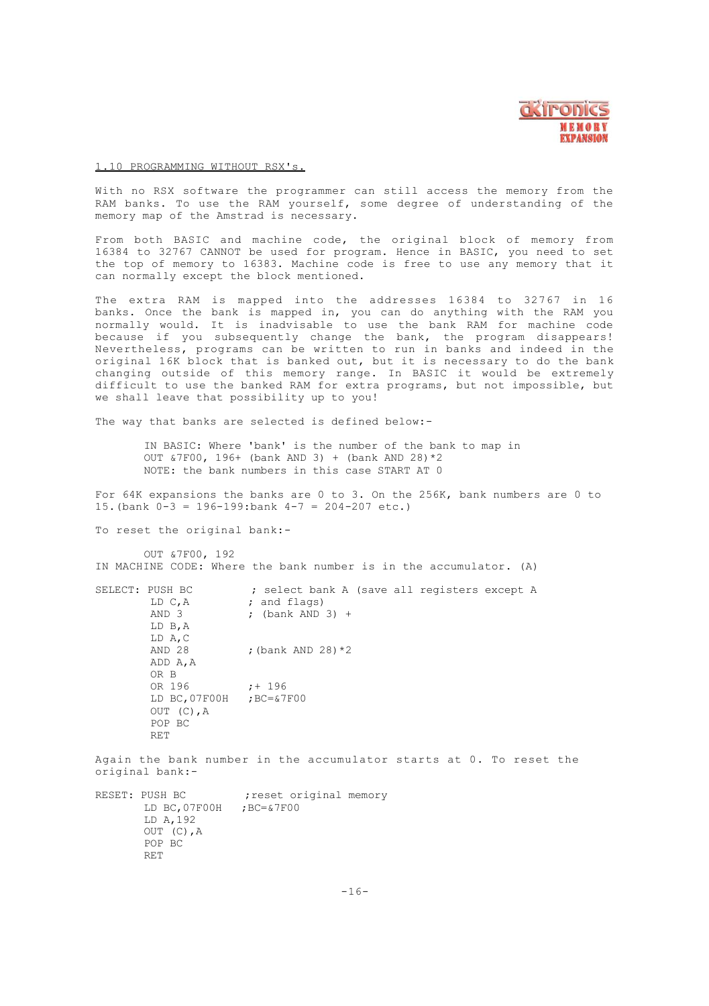

#### 1.10 PROGRAMMING WITHOUT RSX's.

With no RSX software the programmer can still access the memory from the RAM banks. To use the RAM yourself, some degree of understanding of the memory map of the Amstrad is necessary.

From both BASIC and machine code, the original block of memory from 16384 to 32767 CANNOT be used for program. Hence in BASIC, you need to set the top of memory to 16383. Machine code is free to use any memory that it can normally except the block mentioned.

The extra RAM is mapped into the addresses 16384 to 32767 in 16 banks. Once the bank is mapped in, you can do anything with the RAM you normally would. It is inadvisable to use the bank RAM for machine code because if you subsequently change the bank, the program disappears! Nevertheless, programs can be written to run in banks and indeed in the original 16K block that is banked out, but it is necessary to do the bank changing outside of this memory range. In BASIC it would be extremely difficult to use the banked RAM for extra programs, but not impossible, but we shall leave that possibility up to you!

The way that banks are selected is defined below:-

IN BASIC: Where 'bank' is the number of the bank to map in OUT &7F00, 196+ (bank AND 3) + (bank AND 28)\*2 NOTE: the bank numbers in this case START AT 0

For 64K expansions the banks are 0 to 3. On the 256K, bank numbers are 0 to 15. (bank  $0-3 = 196-199$ : bank  $4-7 = 204-207$  etc.)

To reset the original bank:-

OUT &7F00, 192 IN MACHINE CODE: Where the bank number is in the accumulator. (A)

SELECT: PUSH BC ; select bank A (save all registers except A LD  $C, A$  ; and flags)<br>  $\therefore$  (bank  $\triangle$ ND ; (bank  $AND$  3) + LD B,A LD A, C<br>AND 28 ; (bank AND 28)  $*2$ ADD A,A OR B OR 196 ; + 196<br>LD BC, 07F00H ; BC=&7F00 LD  $BC,07F00H$ OUT (C),A POP BC RET

Again the bank number in the accumulator starts at 0. To reset the original bank:-

RESET: PUSH BC ; reset original memory LD BC,07F00H ;BC=&7F00 LD A,192 OUT (C),A POP BC RET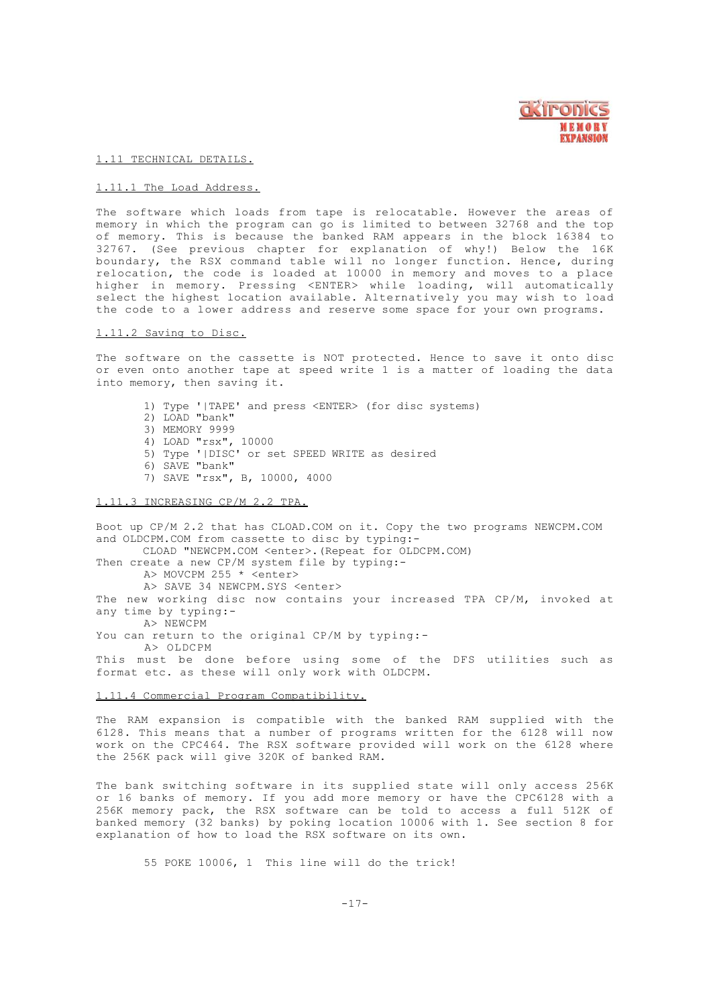

1.11 TECHNICAL DETAILS.

#### 1.11.1 The Load Address.

The software which loads from tape is relocatable. However the areas of memory in which the program can go is limited to between 32768 and the top of memory. This is because the banked RAM appears in the block 16384 to 32767. (See previous chapter for explanation of why!) Below the 16K boundary, the RSX command table will no longer function. Hence, during relocation, the code is loaded at 10000 in memory and moves to a place higher in memory. Pressing <ENTER> while loading, will automatically select the highest location available. Alternatively you may wish to load the code to a lower address and reserve some space for your own programs.

### 1.11.2 Saving to Disc.

The software on the cassette is NOT protected. Hence to save it onto disc or even onto another tape at speed write 1 is a matter of loading the data into memory, then saving it.

- 1) Type '|TAPE' and press <ENTER> (for disc systems)
- 2) LOAD "bank"
- 3) MEMORY 9999
- 4) LOAD "rsx", 10000
- 5) Type '|DISC' or set SPEED WRITE as desired
- 6) SAVE "bank"
- 7) SAVE "rsx", B, 10000, 4000

#### 1.11.3 INCREASING CP/M 2.2 TPA.

Boot up CP/M 2.2 that has CLOAD.COM on it. Copy the two programs NEWCPM.COM and OLDCPM.COM from cassette to disc by typing:- CLOAD "NEWCPM.COM <enter>.(Repeat for OLDCPM.COM) Then create a new CP/M system file by typing:- A> MOVCPM 255 \* <enter> A> SAVE 34 NEWCPM.SYS <enter> The new working disc now contains your increased TPA CP/M, invoked at any time by typing:- A> NEWCPM You can return to the original CP/M by typing:-A> OLDCPM This must be done before using some of the DFS utilities such as format etc. as these will only work with OLDCPM.

#### 1.11.4 Commercial Program Compatibility.

The RAM expansion is compatible with the banked RAM supplied with the 6128. This means that a number of programs written for the 6128 will now work on the CPC464. The RSX software provided will work on the 6128 where the 256K pack will give 320K of banked RAM.

The bank switching software in its supplied state will only access 256K or 16 banks of memory. If you add more memory or have the CPC6128 with a 256K memory pack, the RSX software can be told to access a full 512K of banked memory (32 banks) by poking location 10006 with 1. See section 8 for explanation of how to load the RSX software on its own.

55 POKE 10006, 1 This line will do the trick!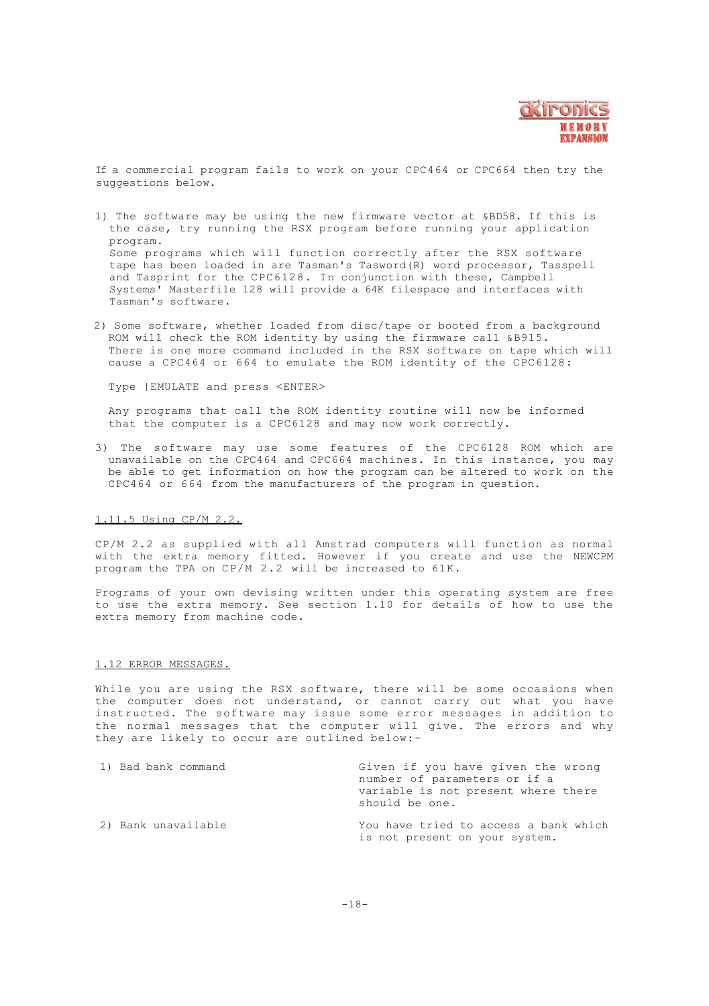

If a commercial program fails to work on your CPC464 or CPC664 then try the suggestions below.

- 1) The software may be using the new firmware vector at &BD58. If this is the case, try running the RSX program before running your application program. Some programs which will function correctly after the RSX software tape has been loaded in are Tasman's Tasword(R) word processor, Tasspell and Tasprint for the CPC6128. In conjunction with these, Campbell Systems' Masterfile 128 will provide a 64K filespace and interfaces with Tasman's software.
- 2) Some software, whether loaded from disc/tape or booted from a background ROM will check the ROM identity by using the firmware call &B915. There is one more command included in the RSX software on tape which will cause a CPC464 or 664 to emulate the ROM identity of the  $CPC6128$ :

Type |EMULATE and press <ENTER>

Any programs that call the ROM identity routine will now be informed that the computer is a CPC6128 and may now work correctly.

3) The software may use some features of the CPC6128 ROM which are unavailable on the CPC464 and CPC664 machines. In this instance, you may be able to get information on how the program can be altered to work on the CPC464 or 664 from the manufacturers of the program in question.

# 1.11.5 Using CP/M 2.2.

CP/M 2.2 as supplied with all Amstrad computers will function as normal with the extra memory fitted. However if you create and use the NEWCPM program the TPA on CP/M 2.2 will be increased to 61K.

Programs of your own devising written under this operating system are free to use the extra memory. See section 1.10 for details of how to use the extra memory from machine code.

#### 1.12 ERROR MESSAGES.

While you are using the RSX software, there will be some occasions when the computer does not understand, or cannot carry out what you have instructed. The software may issue some error messages in addition to the normal messages that the computer will give. The errors and why they are likely to occur are outlined below:-

| 1) Bad bank command | Given if you have given the wrong<br>number of parameters or if a<br>variable is not present where there<br>should be one. |
|---------------------|----------------------------------------------------------------------------------------------------------------------------|
| 2) Bank unavailable | You have tried to access a bank which<br>is not present on your system.                                                    |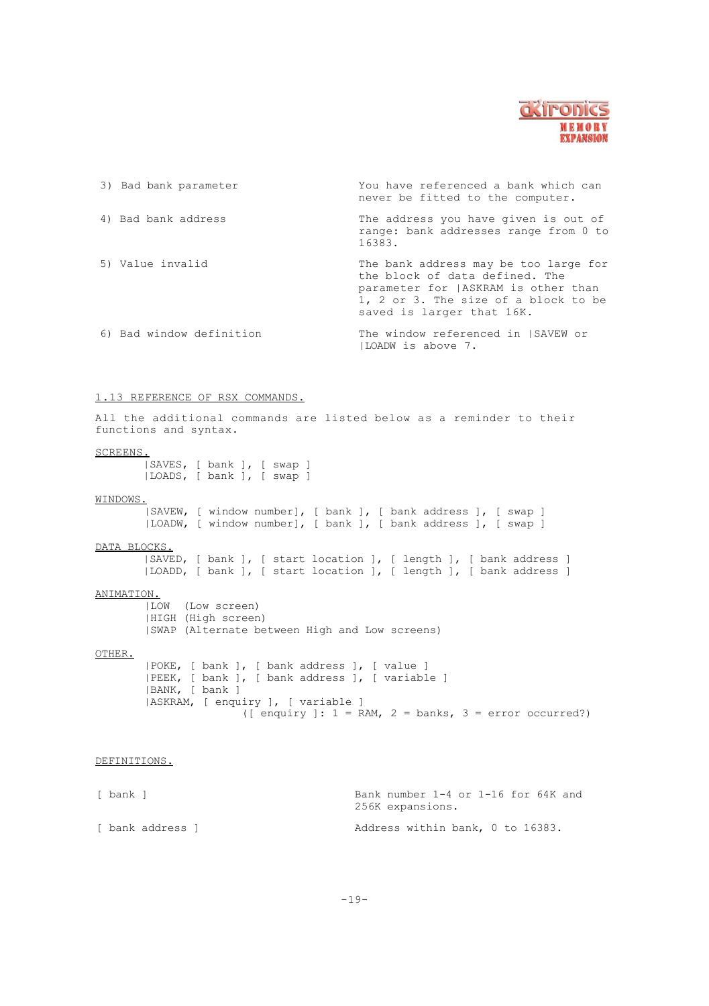

| 3) Bad bank parameter    | You have referenced a bank which can<br>never be fitted to the computer.                                                                                                             |
|--------------------------|--------------------------------------------------------------------------------------------------------------------------------------------------------------------------------------|
| 4) Bad bank address      | The address you have given is out of<br>range: bank addresses range from 0 to<br>16383.                                                                                              |
| 5) Value invalid         | The bank address may be too large for<br>the block of data defined. The<br>parameter for   ASKRAM is other than<br>1, 2 or 3. The size of a block to be<br>saved is larger that 16K. |
| 6) Bad window definition | The window referenced in ISAVEW or<br>ILOADW is above 7.                                                                                                                             |

# 1 .13 RE FERENCE OF RSX COMMANDS.

All the additional commands are listed below as a reminder to their functions and syntax.

#### SCREENS.

|SAVES, [ bank ], [ swap ] |LOADS, [ bank ], [ swap ]

WINDOWS. |SAVEW, [ window number], [ bank ], [ bank address ], [ swap ] |LOADW, [ window number], [ bank ], [ bank address ], [ swap ]

# DATA BLOCKS.

|SAVED, [ bank ], [ start location ], [ length ], [ bank address ] |LOADD, [ bank ], [ start location ], [ length ], [ bank address ]

# ANIMATION.

|LOW (Low screen) |HIGH (High screen) |SWAP (Alternate between High and Low screens)

#### OTHER.

|POKE, [ bank ], [ bank address ], [ value ] |PEEK, [ bank ], [ bank address ], [ variable ] |BANK, [ bank ] |ASKRAM, [ enquiry ], [ variable ] ([ enquiry ]:  $1 = RAM$ ,  $2 = banks$ ,  $3 = error occurred$ ?)

#### DEFINITIONS.

[ bank ] Bank number 1-4 or 1-16 for 64K and 256K expansions. [ bank address ] [ bank address ] [ bank address ] [ bank address within bank, 0 to 16383.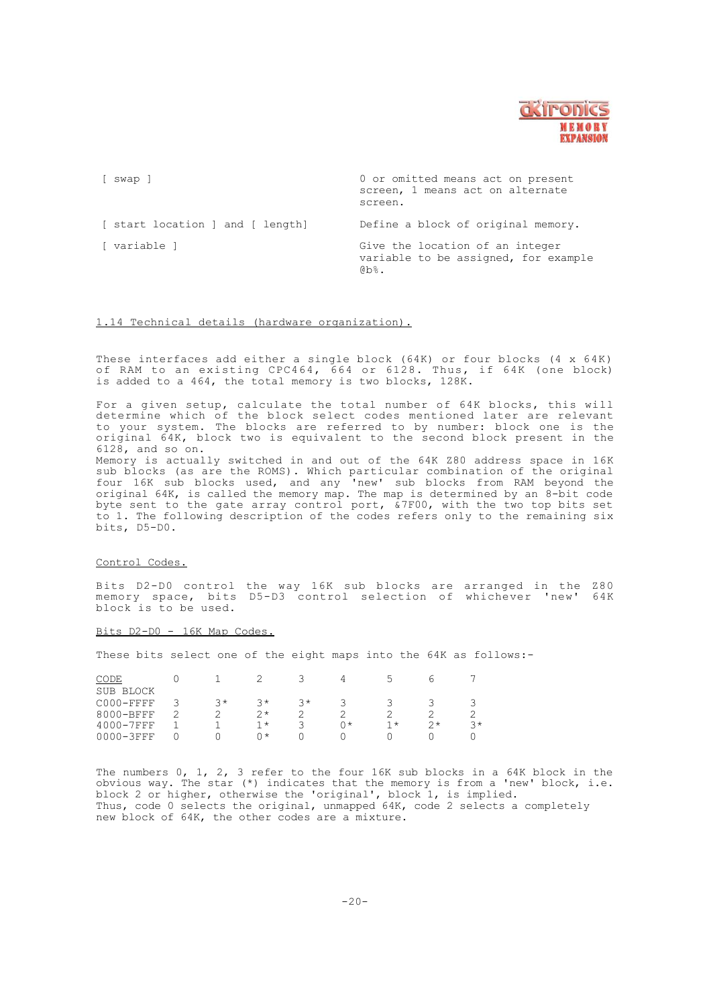

[ swap ] 0 or omitted means act on present screen, 1 means act on alternate screen. [ start location ] and [ length] Define a block of original memory. [ variable ] Give the location of an integer variable to be assigned, for example @b%.

# 1.14 Technical details (hardware organization).

These interfaces add either a single block (64K) or four blocks (4 x 64K) of RAM to an existing CPC464, 664 or 6128. Thus, if 64K (one block) is added to a 464, the total memory is two blocks, 128K.

For a given setup, calculate the total number of 64K blocks, this will determine which of the block select codes mentioned later are relevant to your system. The blocks are referred to by number: block one is the original 64K, block two is equivalent to the second block present in the 6128, and so on.

Memory is actually switched in and out of the 64K Z80 address space in 16K sub blocks (as are the ROMS). Which particular combination of the original four 16K sub blocks used, and any 'new' sub blocks from RAM beyond the original 64K, is called the memory map. The map is determined by an 8-bit code byte sent to the gate array control port, &7F00, with the two top bits set to 1. The following description of the codes refers only to the remaining six bits, D5-D0.

#### Control Codes.

Bits D2-D0 control the way 16K sub blocks are arranged in the Z80 memory space, bits D5-D3 control selection of whichever 'new' 64K block is to be used.

#### $Bits$   $D2-D0 - 16K$  Map Codes.

These bits select one of the eight maps into the 64K as follows:-

| CODE           |     |      |      |      |      |    |      |
|----------------|-----|------|------|------|------|----|------|
| SUB BLOCK      |     |      |      |      |      |    |      |
| C000-FFFF      | ? * | マ*   | $2*$ |      |      |    |      |
| 8000-BFFF      |     | $2*$ |      |      |      |    |      |
| 4000-7FFF      |     | 1 *  |      | () * | $1*$ | つぇ | $2*$ |
| $0000 - 3$ FFF |     | ∩∗   |      |      |      |    |      |

The numbers 0, 1, 2, 3 refer to the four 16K sub blocks in a 64K block in the obvious way. The star (\*) indicates that the memory is from a 'new' block, i.e. block 2 or higher, otherwise the 'original', block 1, is implied. Thus, code 0 selects the original, unmapped 64K, code 2 selects a completely new block of 64K, the other codes are a mixture.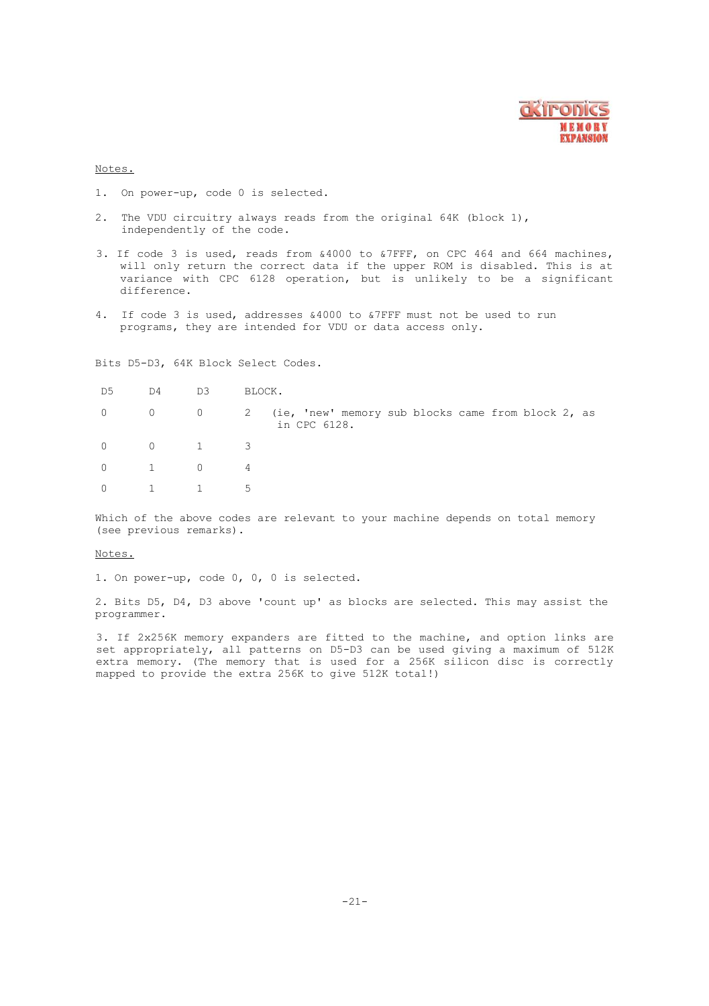

# Notes.

- 1. On power-up, code 0 is selected.
- 2. The VDU circuitry always reads from the original 64K (block 1), independently of the code.
- 3. If code 3 is used, reads from &4000 to &7FFF, on CPC 464 and 664 machines, will only return the correct data if the upper ROM is disabled. This is at variance with CPC 6128 operation, but is unlikely to be a significant difference.
- 4. If code 3 is used, addresses &4000 to &7FFF must not be used to run programs, they are intended for VDU or data access only.

Bits D5-D3, 64K Block Select Codes.

| D5 | D4                    | D3                             | BLOCK.                                                                     |  |
|----|-----------------------|--------------------------------|----------------------------------------------------------------------------|--|
|    |                       |                                | 0 0 0 2 (ie, 'new' memory sub blocks came from block 2, as<br>in CPC 6128. |  |
|    |                       | $0 \qquad 0 \qquad 1 \qquad 3$ |                                                                            |  |
|    | $0 \qquad 1 \qquad 0$ | -4                             |                                                                            |  |
|    | $0 \qquad 1 \qquad 1$ |                                |                                                                            |  |

Which of the above codes are relevant to your machine depends on total memory (see previous remarks).

#### Notes.

1. On power-up, code 0, 0, 0 is selected.

2. Bits D5, D4, D3 above 'count up' as blocks are selected. This may assist the programmer.

3. If 2x256K memory expanders are fitted to the machine, and option links are set appropriately, all patterns on D5-D3 can be used giving a maximum of 512K extra memory. (The memory that is used for a 256K silicon disc is correctly mapped to provide the extra 256K to give 512K total!)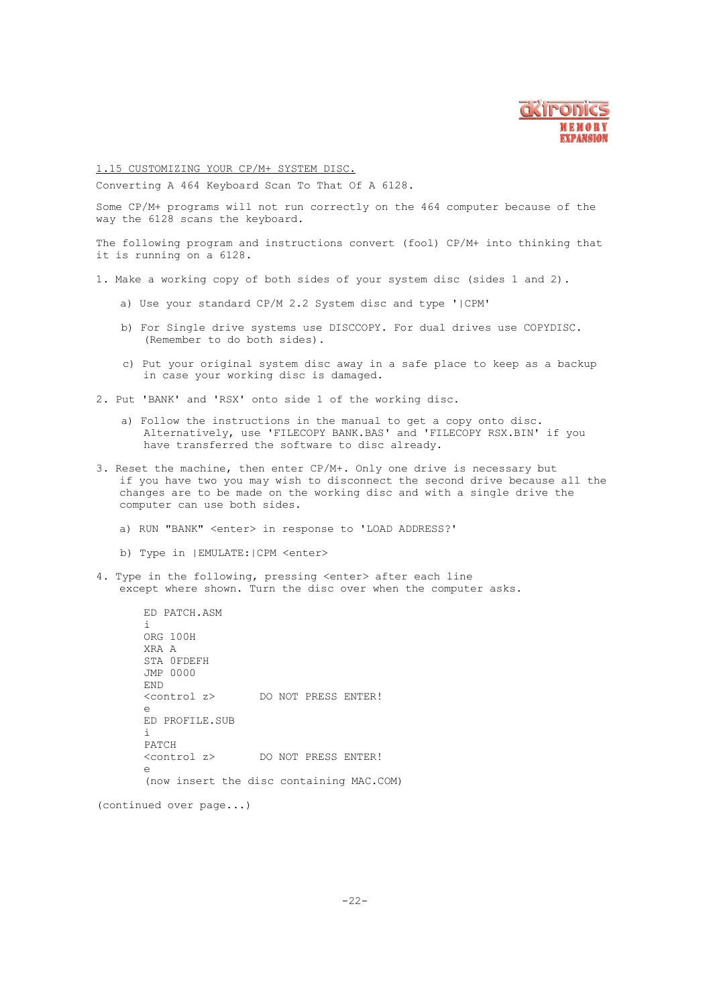

1.15 CUSTOMIZING YOUR CP/M+ SYSTEM DISC.

Converting A 464 Keyboard Scan To That Of A 6128.

Some CP/M+ programs will not run correctly on the 464 computer because of the way the 6128 scans the keyboard.

The following program and instructions convert (fool) CP/M+ into thinking that it is running on a 6128.

- 1. Make a working copy of both sides of your system disc (sides 1 and 2).
	- a) Use your standard CP/M 2.2 System disc and type '|CPM'
	- b) For Single drive systems use DISCCOPY. For dual drives use COPYDISC. (Remember to do both sides).
	- c) Put your original system disc away in a safe place to keep as a backup in case your working disc is damaged.
- 2. Put 'BANK' and 'RSX' onto side 1 of the working disc.
	- a) Follow the instructions in the manual to get a copy onto disc. Alternatively, use 'FILECOPY BANK.BAS' and 'FILECOPY RSX.BIN' if you have transferred the software to disc already.
- 3. Reset the machine, then enter CP/M+. Only one drive is necessary but if you have two you may wish to disconnect the second drive because all the changes are to be made on the working disc and with a single drive the computer can use both sides.
	- a) RUN "BANK" <enter> in response to 'LOAD ADDRESS?'
	- b) Type in |EMULATE:|CPM <enter>
- 4. Type in the following, pressing <enter> after each line except where shown. Turn the disc over when the computer asks.

ED PATCH.ASM i ORG 100H XRA A STA 0FDEFH JMP 0000 END<br><control z> DO NOT PRESS ENTER! e ED PROFILE.SUB i PATCH<br><control z> DO NOT PRESS ENTER! e (now insert the disc containing MAC.COM)

(continued over page...)